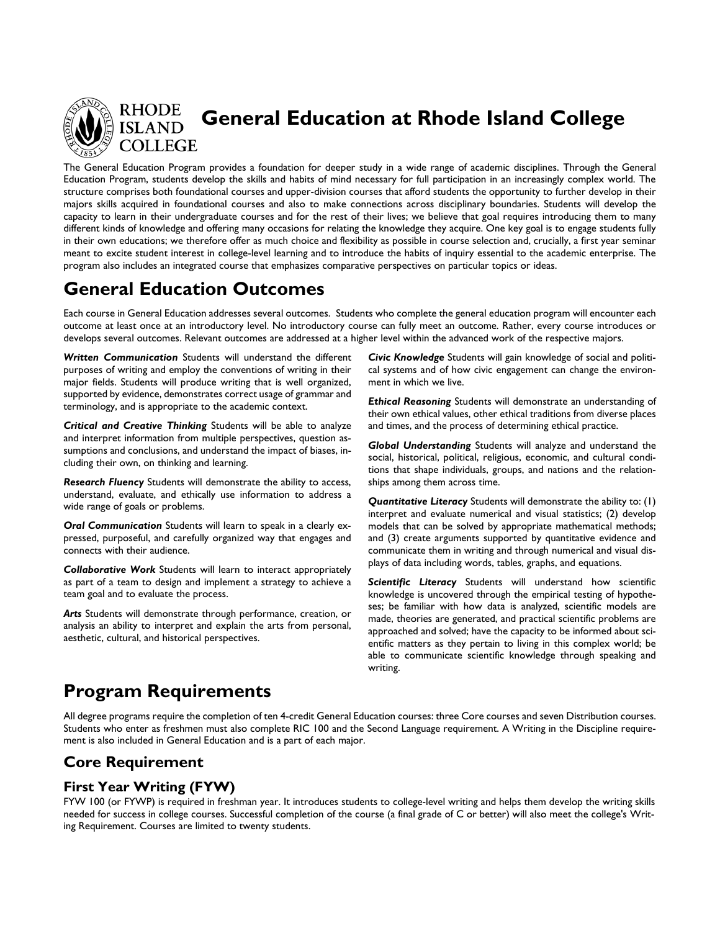

**General Education at Rhode Island College**

The General Education Program provides a foundation for deeper study in a wide range of academic disciplines. Through the General Education Program, students develop the skills and habits of mind necessary for full participation in an increasingly complex world. The structure comprises both foundational courses and upper-division courses that afford students the opportunity to further develop in their majors skills acquired in foundational courses and also to make connections across disciplinary boundaries. Students will develop the capacity to learn in their undergraduate courses and for the rest of their lives; we believe that goal requires introducing them to many different kinds of knowledge and offering many occasions for relating the knowledge they acquire. One key goal is to engage students fully in their own educations; we therefore offer as much choice and flexibility as possible in course selection and, crucially, a first year seminar meant to excite student interest in college-level learning and to introduce the habits of inquiry essential to the academic enterprise. The program also includes an integrated course that emphasizes comparative perspectives on particular topics or ideas.

# **General Education Outcomes**

Each course in General Education addresses several outcomes. Students who complete the general education program will encounter each outcome at least once at an introductory level. No introductory course can fully meet an outcome. Rather, every course introduces or develops several outcomes. Relevant outcomes are addressed at a higher level within the advanced work of the respective majors.

*Written Communication* Students will understand the different purposes of writing and employ the conventions of writing in their major fields. Students will produce writing that is well organized, supported by evidence, demonstrates correct usage of grammar and terminology, and is appropriate to the academic context.

*Critical and Creative Thinking* Students will be able to analyze and interpret information from multiple perspectives, question assumptions and conclusions, and understand the impact of biases, including their own, on thinking and learning.

*Research Fluency* Students will demonstrate the ability to access, understand, evaluate, and ethically use information to address a wide range of goals or problems.

*Oral Communication* Students will learn to speak in a clearly expressed, purposeful, and carefully organized way that engages and connects with their audience.

*Collaborative Work* Students will learn to interact appropriately as part of a team to design and implement a strategy to achieve a team goal and to evaluate the process.

*Arts* Students will demonstrate through performance, creation, or analysis an ability to interpret and explain the arts from personal, aesthetic, cultural, and historical perspectives.

*Civic Knowledge* Students will gain knowledge of social and political systems and of how civic engagement can change the environment in which we live.

*Ethical Reasoning* Students will demonstrate an understanding of their own ethical values, other ethical traditions from diverse places and times, and the process of determining ethical practice.

*Global Understanding* Students will analyze and understand the social, historical, political, religious, economic, and cultural conditions that shape individuals, groups, and nations and the relationships among them across time.

*Quantitative Literacy* Students will demonstrate the ability to: (1) interpret and evaluate numerical and visual statistics; (2) develop models that can be solved by appropriate mathematical methods; and (3) create arguments supported by quantitative evidence and communicate them in writing and through numerical and visual displays of data including words, tables, graphs, and equations.

*Scientific Literacy* Students will understand how scientific knowledge is uncovered through the empirical testing of hypotheses; be familiar with how data is analyzed, scientific models are made, theories are generated, and practical scientific problems are approached and solved; have the capacity to be informed about scientific matters as they pertain to living in this complex world; be able to communicate scientific knowledge through speaking and writing.

# **Program Requirements**

All degree programs require the completion of ten 4-credit General Education courses: thre[e Core](http://www.ric.edu/generaleducation/Fall2012Present.php#core) courses and seve[n Distribution](http://www.ric.edu/generaleducation/Fall2012Present.php#distribution) courses. Students who enter as freshmen must also complete RIC 100 and the [Second Language](http://www.ric.edu/generaleducation/language.php) requirement. A [Writing in the Discipline](http://www.ric.edu/generaleducation/writing.php) requirement is also included in General Education and is a part of each major.

# **Core Requirement**

### **First Year Writing (FYW)**

FYW 100 (or FYWP) is required in freshman year. It introduces students to college-level writing and helps them develop the writing skills needed for success in college courses. Successful completion of the course (a final grade of C or better) will also meet the college's Writing Requirement. Courses are limited to twenty students.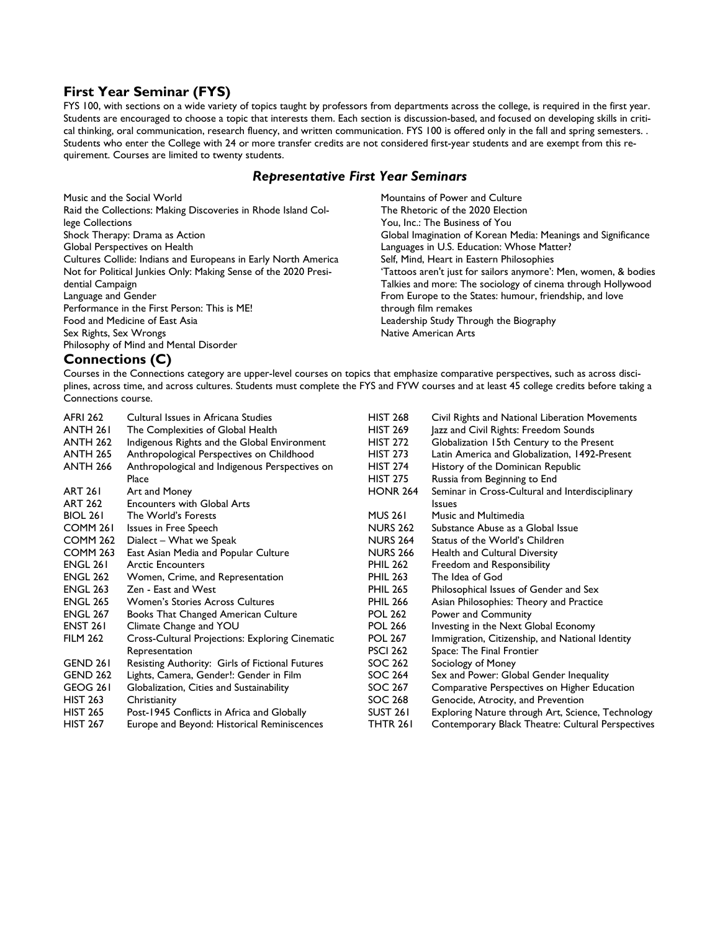### **First Year Seminar (FYS)**

FYS 100, with sections on a wide variety of topics taught by professors from departments across the college, is required in the first year. Students are encouraged to choose a topic that interests them. Each section is discussion-based, and focused on developing skills in critical thinking, oral communication, research fluency, and written communication. FYS 100 is offered only in the fall and spring semesters. . Students who enter the College with 24 or more transfer credits are not considered first-year students and are exempt from this requirement. Courses are limited to twenty students.

#### *Representative First Year Seminars*

| Music and the Social World                                      | Mountains of Power and Culture                                  |
|-----------------------------------------------------------------|-----------------------------------------------------------------|
| Raid the Collections: Making Discoveries in Rhode Island Col-   | The Rhetoric of the 2020 Election                               |
| lege Collections                                                | You, Inc.: The Business of You                                  |
| Shock Therapy: Drama as Action                                  | Global Imagination of Korean Media: Meanings and Significance   |
| Global Perspectives on Health                                   | Languages in U.S. Education: Whose Matter?                      |
| Cultures Collide: Indians and Europeans in Early North America  | Self, Mind, Heart in Eastern Philosophies                       |
| Not for Political Junkies Only: Making Sense of the 2020 Presi- | 'Tattoos aren't just for sailors anymore': Men, women, & bodies |
| dential Campaign                                                | Talkies and more: The sociology of cinema through Hollywood     |
| Language and Gender                                             | From Europe to the States: humour, friendship, and love         |
| Performance in the First Person: This is ME!                    | through film remakes                                            |
| Food and Medicine of East Asia                                  | Leadership Study Through the Biography                          |
| Sex Rights, Sex Wrongs                                          | <b>Native American Arts</b>                                     |
| Philosophy of Mind and Mental Disorder                          |                                                                 |

### **Connections (C)**

Courses in the Connections category are upper-level courses on topics that emphasize comparative perspectives, such as across disciplines, across time, and across cultures. Students must complete the FYS and FYW courses and at least 45 college credits before taking a Connections course.

| <b>AFRI 262</b>     | Cultural Issues in Africana Studies                    | <b>HIST 268</b> | Civil Rights and National Liberation Movements    |
|---------------------|--------------------------------------------------------|-----------------|---------------------------------------------------|
| <b>ANTH 261</b>     | The Complexities of Global Health                      | <b>HIST 269</b> | Jazz and Civil Rights: Freedom Sounds             |
| <b>ANTH 262</b>     | Indigenous Rights and the Global Environment           | <b>HIST 272</b> | Globalization 15th Century to the Present         |
| <b>ANTH 265</b>     | Anthropological Perspectives on Childhood              | <b>HIST 273</b> | Latin America and Globalization, 1492-Present     |
| <b>ANTH 266</b>     | Anthropological and Indigenous Perspectives on         | <b>HIST 274</b> | History of the Dominican Republic                 |
|                     | Place                                                  | <b>HIST 275</b> | Russia from Beginning to End                      |
| <b>ART 261</b>      | Art and Money                                          | <b>HONR 264</b> | Seminar in Cross-Cultural and Interdisciplinary   |
| <b>ART 262</b>      | <b>Encounters with Global Arts</b>                     |                 | <b>Issues</b>                                     |
| <b>BIOL 261</b>     | The World's Forests                                    | <b>MUS 261</b>  | <b>Music and Multimedia</b>                       |
| COMM <sub>261</sub> | Issues in Free Speech                                  | <b>NURS 262</b> | Substance Abuse as a Global Issue                 |
| COMM <sub>262</sub> | Dialect - What we Speak                                | <b>NURS 264</b> | Status of the World's Children                    |
| <b>COMM 263</b>     | East Asian Media and Popular Culture                   | <b>NURS 266</b> | Health and Cultural Diversity                     |
| <b>ENGL 261</b>     | <b>Arctic Encounters</b>                               | <b>PHIL 262</b> | Freedom and Responsibility                        |
| <b>ENGL 262</b>     | Women, Crime, and Representation                       | <b>PHIL 263</b> | The Idea of God                                   |
| <b>ENGL 263</b>     | Zen - East and West                                    | <b>PHIL 265</b> | Philosophical Issues of Gender and Sex            |
| <b>ENGL 265</b>     | Women's Stories Across Cultures                        | <b>PHIL 266</b> | Asian Philosophies: Theory and Practice           |
| <b>ENGL 267</b>     | <b>Books That Changed American Culture</b>             | <b>POL 262</b>  | Power and Community                               |
| <b>ENST 261</b>     | Climate Change and YOU                                 | <b>POL 266</b>  | Investing in the Next Global Economy              |
| <b>FILM 262</b>     | <b>Cross-Cultural Projections: Exploring Cinematic</b> | <b>POL 267</b>  | Immigration, Citizenship, and National Identity   |
|                     | Representation                                         | <b>PSCI 262</b> | Space: The Final Frontier                         |
| GEND 261            | Resisting Authority: Girls of Fictional Futures        | SOC 262         | Sociology of Money                                |
| <b>GEND 262</b>     | Lights, Camera, Gender!: Gender in Film                | SOC 264         | Sex and Power: Global Gender Inequality           |
| GEOG 261            | Globalization, Cities and Sustainability               | SOC 267         | Comparative Perspectives on Higher Education      |
| <b>HIST 263</b>     | Christianity                                           | SOC 268         | Genocide, Atrocity, and Prevention                |
| <b>HIST 265</b>     | Post-1945 Conflicts in Africa and Globally             | SUST 261        | Exploring Nature through Art, Science, Technology |
| <b>HIST 267</b>     | Europe and Beyond: Historical Reminiscences            | THTR 261        | Contemporary Black Theatre: Cultural Perspectives |
|                     |                                                        |                 |                                                   |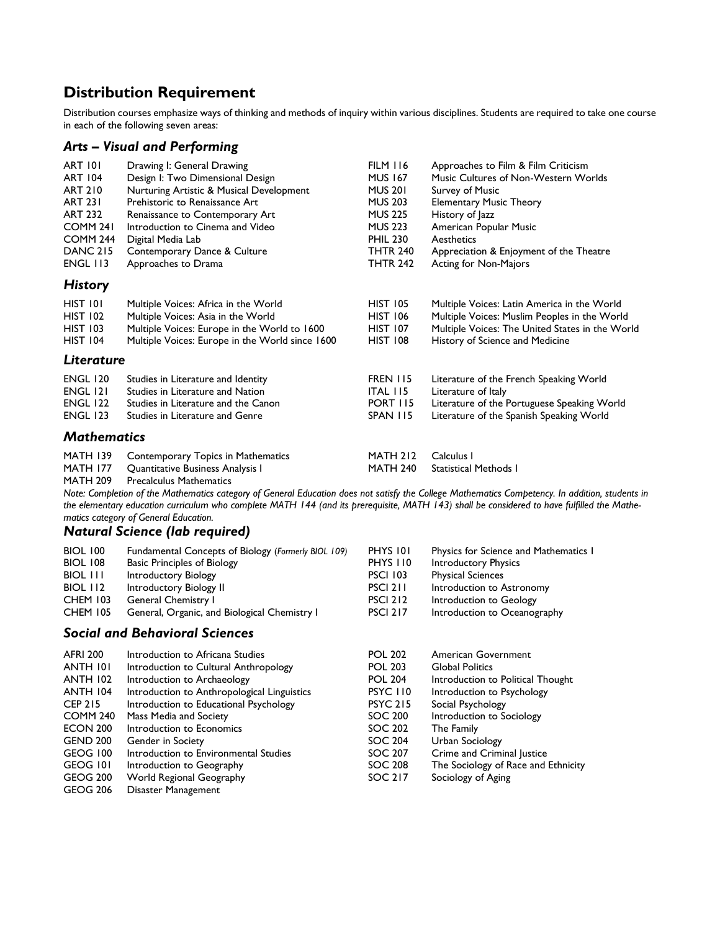# **Distribution Requirement**

Distribution courses emphasize ways of thinking and methods of inquiry within various disciplines. Students are required to take one course in each of the following seven areas:

### *Arts – Visual and Performing*

| <b>ART 101</b>      | Drawing I: General Drawing                      | <b>FILM 116</b> | Approaches to Film & Film Criticism             |
|---------------------|-------------------------------------------------|-----------------|-------------------------------------------------|
| <b>ART 104</b>      | Design I: Two Dimensional Design                | <b>MUS 167</b>  | Music Cultures of Non-Western Worlds            |
| <b>ART 210</b>      | Nurturing Artistic & Musical Development        | <b>MUS 201</b>  | <b>Survey of Music</b>                          |
| <b>ART 231</b>      | Prehistoric to Renaissance Art                  | <b>MUS 203</b>  | <b>Elementary Music Theory</b>                  |
| <b>ART 232</b>      | Renaissance to Contemporary Art                 | <b>MUS 225</b>  | History of Jazz                                 |
| COMM <sub>241</sub> | Introduction to Cinema and Video                | <b>MUS 223</b>  | American Popular Music                          |
| <b>COMM 244</b>     | Digital Media Lab                               | <b>PHIL 230</b> | Aesthetics                                      |
| <b>DANC 215</b>     | Contemporary Dance & Culture                    | <b>THTR 240</b> | Appreciation & Enjoyment of the Theatre         |
| <b>ENGL 113</b>     | Approaches to Drama                             | <b>THTR 242</b> | Acting for Non-Majors                           |
| <b>History</b>      |                                                 |                 |                                                 |
| HIST 101            | Multiple Voices: Africa in the World            | <b>HIST 105</b> | Multiple Voices: Latin America in the World     |
| <b>HIST 102</b>     | Multiple Voices: Asia in the World              | <b>HIST 106</b> | Multiple Voices: Muslim Peoples in the World    |
| <b>HIST 103</b>     | Multiple Voices: Europe in the World to 1600    | <b>HIST 107</b> | Multiple Voices: The United States in the World |
| <b>HIST 104</b>     | Multiple Voices: Europe in the World since 1600 | <b>HIST 108</b> | History of Science and Medicine                 |
| Literature          |                                                 |                 |                                                 |
| <b>ENGL 120</b>     | Studies in Literature and Identity              | <b>FREN 115</b> | Literature of the French Speaking World         |
| <b>ENGL 121</b>     | Studies in Literature and Nation                | <b>ITAL 115</b> | Literature of Italy                             |
| <b>ENGL 122</b>     | Studies in Literature and the Canon             | <b>PORT 115</b> | Literature of the Portuguese Speaking World     |
| <b>ENGL 123</b>     | Studies in Literature and Genre                 | SPAN 115        | Literature of the Spanish Speaking World        |
| <b>Mathematics</b>  |                                                 |                 |                                                 |
| <b>MATH 139</b>     | Contemporary Topics in Mathematics              | <b>MATH 212</b> | Calculus I                                      |
| <b>MATH 177</b>     | Quantitative Business Analysis I                | <b>MATH 240</b> | <b>Statistical Methods I</b>                    |
| <b>MATH 209</b>     | <b>Precalculus Mathematics</b>                  |                 |                                                 |

*Note: Completion of the Mathematics category of General Education does not satisfy the College Mathematics Competency. In addition, students in the elementary education curriculum who complete MATH 144 (and its prerequisite, MATH 143) shall be considered to have fulfilled the Mathematics category of General Education.*

### *Natural Science (lab required)*

| <b>BIOL 100</b> | Fundamental Concepts of Biology (Formerly BIOL 109) | PHYS 101        | Physics for Science and Mathematics I |
|-----------------|-----------------------------------------------------|-----------------|---------------------------------------|
| <b>BIOL 108</b> | <b>Basic Principles of Biology</b>                  | PHYS 110        | Introductory Physics                  |
| BIOL III        | Introductory Biology                                | <b>PSCI 103</b> | <b>Physical Sciences</b>              |
| BIOL 112        | Introductory Biology II                             | PSCI 211        | Introduction to Astronomy             |
| <b>CHEM 103</b> | General Chemistry I                                 | <b>PSCI 212</b> | Introduction to Geology               |
| <b>CHEM 105</b> | General, Organic, and Biological Chemistry I        | <b>PSCI 217</b> | Introduction to Oceanography          |

#### *Social and Behavioral Sciences*

| <b>AFRI 200</b>     | Introduction to Africana Studies            | <b>POL 202</b>  | American Government                 |
|---------------------|---------------------------------------------|-----------------|-------------------------------------|
| ANTH 101            | Introduction to Cultural Anthropology       | <b>POL 203</b>  | <b>Global Politics</b>              |
| <b>ANTH 102</b>     | Introduction to Archaeology                 | <b>POL 204</b>  | Introduction to Political Thought   |
| <b>ANTH 104</b>     | Introduction to Anthropological Linguistics | <b>PSYC 110</b> | Introduction to Psychology          |
| <b>CEP 215</b>      | Introduction to Educational Psychology      | <b>PSYC 215</b> | Social Psychology                   |
| COMM <sub>240</sub> | Mass Media and Society                      | SOC 200         | Introduction to Sociology           |
| <b>ECON 200</b>     | Introduction to Economics                   | SOC 202         | The Family                          |
| <b>GEND 200</b>     | Gender in Society                           | SOC 204         | Urban Sociology                     |
| GEOG 100            | Introduction to Environmental Studies       | SOC 207         | Crime and Criminal Justice          |
| GEOG 101            | Introduction to Geography                   | SOC 208         | The Sociology of Race and Ethnicity |
| GEOG 200            | World Regional Geography                    | SOC 217         | Sociology of Aging                  |
| <b>GEOG 206</b>     | Disaster Management                         |                 |                                     |